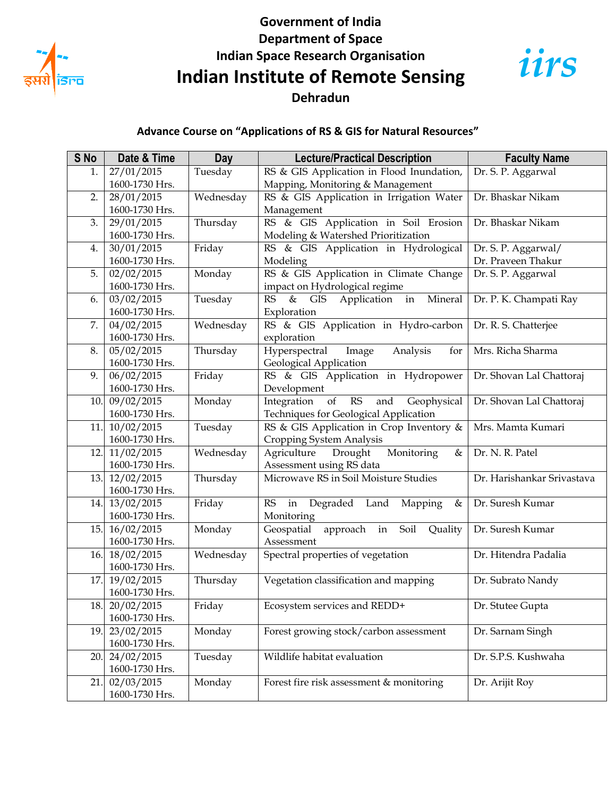

## **Government of India Department of Space Indian Space Research Organisation Indian Institute of Remote Sensing Dehradun**



## **Advance Course on "Applications of RS & GIS for Natural Resources"**

| S No | Date & Time                  | <b>Day</b> | <b>Lecture/Practical Description</b>                              | <b>Faculty Name</b>        |
|------|------------------------------|------------|-------------------------------------------------------------------|----------------------------|
| 1.   | 27/01/2015                   | Tuesday    | RS & GIS Application in Flood Inundation,                         | Dr. S. P. Aggarwal         |
|      | 1600-1730 Hrs.               |            | Mapping, Monitoring & Management                                  |                            |
| 2.   | 28/01/2015                   | Wednesday  | RS & GIS Application in Irrigation Water                          | Dr. Bhaskar Nikam          |
|      | 1600-1730 Hrs.               |            | Management                                                        |                            |
| 3.   | 29/01/2015                   | Thursday   | RS & GIS Application in Soil Erosion                              | Dr. Bhaskar Nikam          |
|      | 1600-1730 Hrs.               |            | Modeling & Watershed Prioritization                               |                            |
| 4.   | 30/01/2015                   | Friday     | RS & GIS Application in Hydrological                              | Dr. S. P. Aggarwal/        |
|      | 1600-1730 Hrs.               |            | Modeling                                                          | Dr. Praveen Thakur         |
| 5.   | 02/02/2015                   | Monday     | RS & GIS Application in Climate Change                            | Dr. S. P. Aggarwal         |
|      | 1600-1730 Hrs.               |            | impact on Hydrological regime                                     |                            |
| 6.   | 03/02/2015                   | Tuesday    | $\&$<br>Application in<br>Mineral<br>RS<br><b>GIS</b>             | Dr. P. K. Champati Ray     |
|      | 1600-1730 Hrs.               |            | Exploration                                                       |                            |
| 7.   | 04/02/2015                   | Wednesday  | RS & GIS Application in Hydro-carbon                              | Dr. R. S. Chatterjee       |
|      | 1600-1730 Hrs.               |            | exploration                                                       |                            |
| 8.   | 05/02/2015                   | Thursday   | Hyperspectral<br>Image<br>Analysis<br>for                         | Mrs. Richa Sharma          |
|      | 1600-1730 Hrs.               |            | Geological Application                                            |                            |
| 9.   | 06/02/2015                   | Friday     | RS & GIS Application in Hydropower                                | Dr. Shovan Lal Chattoraj   |
|      | 1600-1730 Hrs.               |            | Development                                                       |                            |
| 10.  | 09/02/2015                   | Monday     | of<br>$\mathbb{R}\mathbb{S}$<br>Integration<br>Geophysical<br>and | Dr. Shovan Lal Chattoraj   |
|      | 1600-1730 Hrs.               |            | Techniques for Geological Application                             |                            |
| 11.  | 10/02/2015                   | Tuesday    | RS & GIS Application in Crop Inventory &                          | Mrs. Mamta Kumari          |
|      | 1600-1730 Hrs.               |            | Cropping System Analysis                                          |                            |
| 12.  | 11/02/2015                   | Wednesday  | Monitoring<br>Agriculture<br>Drought<br>&                         | Dr. N. R. Patel            |
|      | 1600-1730 Hrs.               |            | Assessment using RS data                                          |                            |
| 13.  | 12/02/2015                   | Thursday   | Microwave RS in Soil Moisture Studies                             | Dr. Harishankar Srivastava |
|      | 1600-1730 Hrs.               |            |                                                                   |                            |
| 14.  | 13/02/2015                   | Friday     | RS<br>in<br>Degraded Land<br>Mapping<br>&                         | Dr. Suresh Kumar           |
|      | 1600-1730 Hrs.               |            | Monitoring                                                        |                            |
| 15.  | 16/02/2015<br>1600-1730 Hrs. | Monday     | approach in Soil<br>Geospatial<br>Quality<br>Assessment           | Dr. Suresh Kumar           |
| 16.  | 18/02/2015                   | Wednesday  | Spectral properties of vegetation                                 | Dr. Hitendra Padalia       |
|      | 1600-1730 Hrs.               |            |                                                                   |                            |
| 17.  | 19/02/2015                   | Thursday   | Vegetation classification and mapping                             | Dr. Subrato Nandy          |
|      | 1600-1730 Hrs.               |            |                                                                   |                            |
| 18.  | 20/02/2015                   | Friday     | Ecosystem services and REDD+                                      | Dr. Stutee Gupta           |
|      | 1600-1730 Hrs.               |            |                                                                   |                            |
| 19.  | 23/02/2015                   | Monday     | Forest growing stock/carbon assessment                            | Dr. Sarnam Singh           |
|      | 1600-1730 Hrs.               |            |                                                                   |                            |
| 20.  | 24/02/2015                   | Tuesday    | Wildlife habitat evaluation                                       | Dr. S.P.S. Kushwaha        |
|      | 1600-1730 Hrs.               |            |                                                                   |                            |
| 21.  | 02/03/2015                   | Monday     | Forest fire risk assessment & monitoring                          | Dr. Arijit Roy             |
|      | 1600-1730 Hrs.               |            |                                                                   |                            |